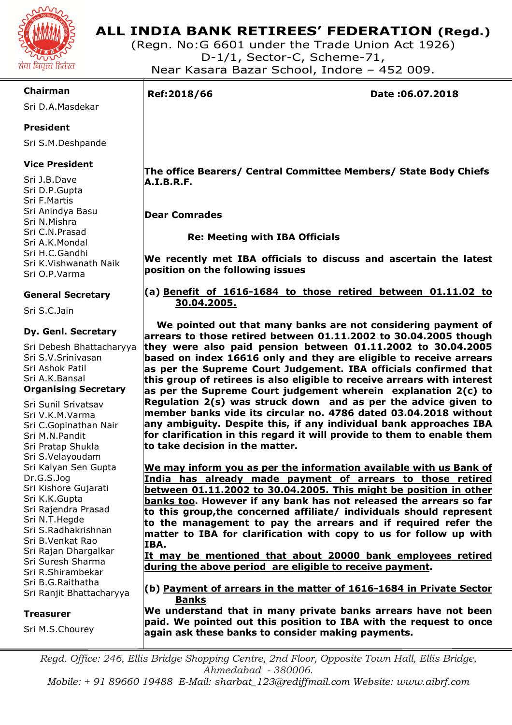

# **ALL INDIA BANK RETIREES' FEDERATION (Regd.)**

(Regn. No:G 6601 under the Trade Union Act 1926) D-1/1, Sector-C, Scheme-71, Near Kasara Bazar School, Indore – 452 009.

# **Chairman**

Sri D.A.Masdekar

# **President**

Sri S.M.Deshpande

## **Vice President**

Sri J.B.Dave Sri D.P.Gupta Sri F.Martis Sri Anindya Basu Sri N.Mishra Sri C.N.Prasad Sri A.K.Mondal Sri H.C.Gandhi Sri K.Vishwanath Naik Sri O.P.Varma

# **General Secretary**

Sri S.C.Jain

## **Dy. Genl. Secretary**

Sri Debesh Bhattacharyya Sri S.V.Srinivasan Sri Ashok Patil Sri A.K.Bansal **Organising Secretary** 

Sri Sunil Srivatsav Sri V.K.M.Varma Sri C.Gopinathan Nair Sri M.N.Pandit Sri Pratap Shukla Sri S.Velayoudam Sri Kalyan Sen Gupta Dr.G.S.Jog Sri Kishore Gujarati Sri K.K.Gupta Sri Rajendra Prasad Sri N.T.Hegde Sri S.Radhakrishnan Sri B.Venkat Rao Sri Rajan Dhargalkar Sri Suresh Sharma Sri R.Shirambekar Sri B.G.Raithatha Sri Ranjit Bhattacharyya

#### **Treasurer**

Sri M.S.Chourey

I

**Ref:2018/66 Date :06.07.2018** 

 **The office Bearers/ Central Committee Members/ State Body Chiefs A.I.B.R.F.** 

 **Dear Comrades** 

 **Re: Meeting with IBA Officials** 

**We recently met IBA officials to discuss and ascertain the latest position on the following issues** 

## **(a) Benefit of 1616-1684 to those retired between 01.11.02 to 30.04.2005.**

 **We pointed out that many banks are not considering payment of arrears to those retired between 01.11.2002 to 30.04.2005 though they were also paid pension between 01.11.2002 to 30.04.2005 based on index 16616 only and they are eligible to receive arrears as per the Supreme Court Judgement. IBA officials confirmed that this group of retirees is also eligible to receive arrears with interest as per the Supreme Court judgement wherein explanation 2(c) to Regulation 2(s) was struck down and as per the advice given to member banks vide its circular no. 4786 dated 03.04.2018 without any ambiguity. Despite this, if any individual bank approaches IBA for clarification in this regard it will provide to them to enable them to take decision in the matter.** 

**We may inform you as per the information available with us Bank of India has already made payment of arrears to those retired between 01.11.2002 to 30.04.2005. This might be position in other banks too. However if any bank has not released the arrears so far to this group,the concerned affiliate/ individuals should represent to the management to pay the arrears and if required refer the matter to IBA for clarification with copy to us for follow up with IBA.** 

**It may be mentioned that about 20000 bank employees retired during the above period are eligible to receive payment.** 

**(b) Payment of arrears in the matter of 1616-1684 in Private Sector Banks** 

**We understand that in many private banks arrears have not been paid. We pointed out this position to IBA with the request to once again ask these banks to consider making payments.** 

*Regd. Office: 246, Ellis Bridge Shopping Centre, 2nd Floor, Opposite Town Hall, Ellis Bridge, Ahmedabad - 380006.* 

*Mobile: + 91 89660 19488 E-Mail: sharbat\_123@rediffmail.com Website: www.aibrf.com*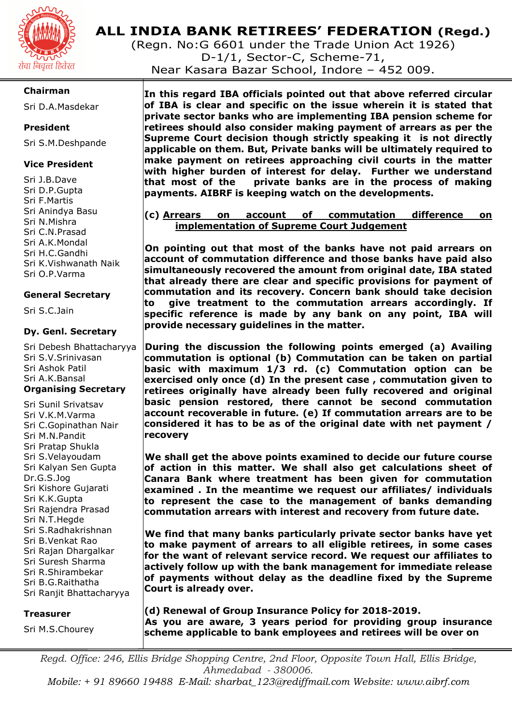

# **ALL INDIA BANK RETIREES' FEDERATION (Regd.)**

(Regn. No:G 6601 under the Trade Union Act 1926) D-1/1, Sector-C, Scheme-71, Near Kasara Bazar School, Indore – 452 009.

## **Chairman**

Sri D.A.Masdekar

## **President**

Sri S.M.Deshpande

## **Vice President**

Sri J.B.Dave Sri D.P.Gupta Sri F.Martis Sri Anindya Basu Sri N.Mishra Sri C.N.Prasad Sri A.K.Mondal Sri H.C.Gandhi Sri K.Vishwanath Naik Sri O.P.Varma

## **General Secretary**

Sri S.C.Jain

#### **Dy. Genl. Secretary**

Sri Debesh Bhattacharyya Sri S.V.Srinivasan Sri Ashok Patil Sri A.K.Bansal **Organising Secretary** 

Sri Sunil Srivatsav Sri V.K.M.Varma Sri C.Gopinathan Nair Sri M.N.Pandit Sri Pratap Shukla Sri S.Velayoudam Sri Kalyan Sen Gupta Dr.G.S.Jog Sri Kishore Gujarati Sri K.K.Gupta Sri Rajendra Prasad Sri N.T.Hegde Sri S.Radhakrishnan Sri B.Venkat Rao Sri Rajan Dhargalkar Sri Suresh Sharma Sri R.Shirambekar Sri B.G.Raithatha Sri Ranjit Bhattacharyya

#### **Treasurer**

Sri M.S.Chourey

**In this regard IBA officials pointed out that above referred circular of IBA is clear and specific on the issue wherein it is stated that private sector banks who are implementing IBA pension scheme for retirees should also consider making payment of arrears as per the Supreme Court decision though strictly speaking it is not directly applicable on them. But, Private banks will be ultimately required to make payment on retirees approaching civil courts in the matter with higher burden of interest for delay. Further we understand that most of the private banks are in the process of making payments. AIBRF is keeping watch on the developments.** 

## **(c) Arrears on account of commutation difference on implementation of Supreme Court Judgement**

**On pointing out that most of the banks have not paid arrears on account of commutation difference and those banks have paid also simultaneously recovered the amount from original date, IBA stated that already there are clear and specific provisions for payment of commutation and its recovery. Concern bank should take decision to give treatment to the commutation arrears accordingly. If specific reference is made by any bank on any point, IBA will provide necessary guidelines in the matter.** 

**During the discussion the following points emerged (a) Availing commutation is optional (b) Commutation can be taken on partial basic with maximum 1/3 rd. (c) Commutation option can be exercised only once (d) In the present case , commutation given to retirees originally have already been fully recovered and original basic pension restored, there cannot be second commutation account recoverable in future. (e) If commutation arrears are to be considered it has to be as of the original date with net payment / recovery** 

**We shall get the above points examined to decide our future course of action in this matter. We shall also get calculations sheet of Canara Bank where treatment has been given for commutation examined . In the meantime we request our affiliates/ individuals to represent the case to the management of banks demanding commutation arrears with interest and recovery from future date.** 

**We find that many banks particularly private sector banks have yet to make payment of arrears to all eligible retirees, in some cases for the want of relevant service record. We request our affiliates to actively follow up with the bank management for immediate release of payments without delay as the deadline fixed by the Supreme Court is already over.** 

**(d) Renewal of Group Insurance Policy for 2018-2019. As you are aware, 3 years period for providing group insurance scheme applicable to bank employees and retirees will be over on** 

*Regd. Office: 246, Ellis Bridge Shopping Centre, 2nd Floor, Opposite Town Hall, Ellis Bridge, Ahmedabad - 380006.* 

*Mobile: + 91 89660 19488 E-Mail: sharbat\_123@rediffmail.com Website: www.aibrf.com*